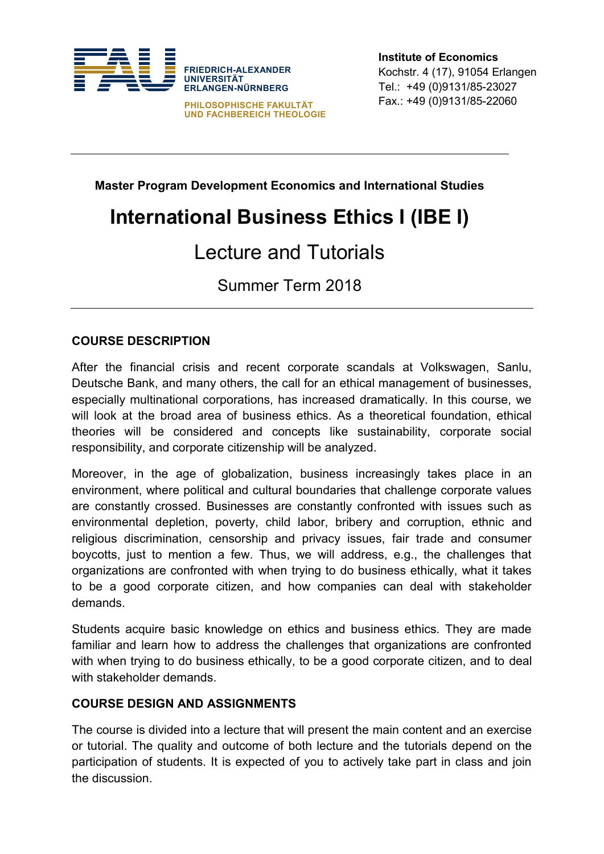

**Institute of Economics** Kochstr. 4 (17), 91054 Erlangen Tel.: +49 (0)9131/85-23027 Fax.: +49 (0)9131/85-22060

**Master Program Development Economics and International Studies**

# **International Business Ethics I (IBE I)**

## Lecture and Tutorials

Summer Term 2018

### **COURSE DESCRIPTION**

After the financial crisis and recent corporate scandals at Volkswagen, Sanlu, Deutsche Bank, and many others, the call for an ethical management of businesses, especially multinational corporations, has increased dramatically. In this course, we will look at the broad area of business ethics. As a theoretical foundation, ethical theories will be considered and concepts like sustainability, corporate social responsibility, and corporate citizenship will be analyzed.

Moreover, in the age of globalization, business increasingly takes place in an environment, where political and cultural boundaries that challenge corporate values are constantly crossed. Businesses are constantly confronted with issues such as environmental depletion, poverty, child labor, bribery and corruption, ethnic and religious discrimination, censorship and privacy issues, fair trade and consumer boycotts, just to mention a few. Thus, we will address, e.g., the challenges that organizations are confronted with when trying to do business ethically, what it takes to be a good corporate citizen, and how companies can deal with stakeholder demands.

Students acquire basic knowledge on ethics and business ethics. They are made familiar and learn how to address the challenges that organizations are confronted with when trying to do business ethically, to be a good corporate citizen, and to deal with stakeholder demands.

#### **COURSE DESIGN AND ASSIGNMENTS**

The course is divided into a lecture that will present the main content and an exercise or tutorial. The quality and outcome of both lecture and the tutorials depend on the participation of students. It is expected of you to actively take part in class and join the discussion.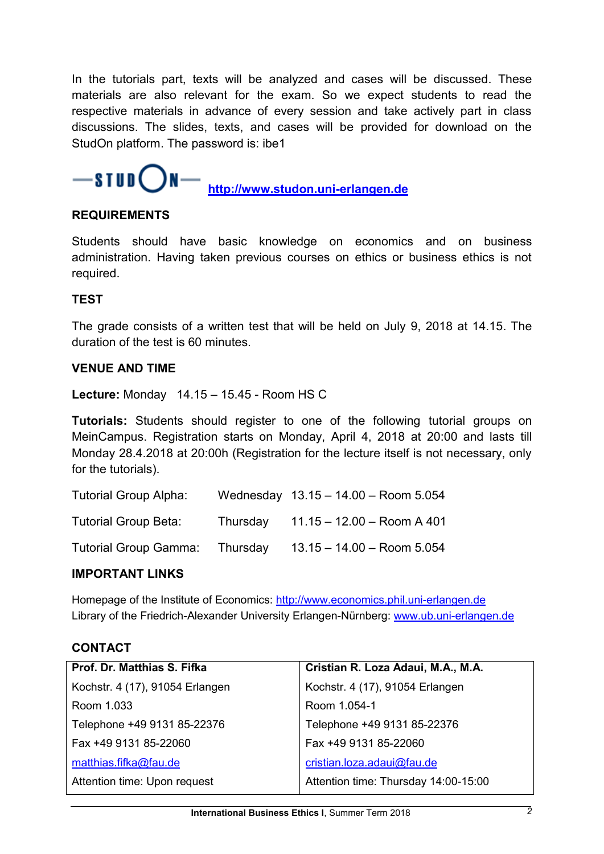In the tutorials part, texts will be analyzed and cases will be discussed. These materials are also relevant for the exam. So we expect students to read the respective materials in advance of every session and take actively part in class discussions. The slides, texts, and cases will be provided for download on the StudOn platform. The password is: ibe1



 **[http://www.studon.uni-erlangen.de](http://www.studon.uni-erlangen.de/)**

#### **REQUIREMENTS**

Students should have basic knowledge on economics and on business administration. Having taken previous courses on ethics or business ethics is not required.

#### **TEST**

The grade consists of a written test that will be held on July 9, 2018 at 14.15. The duration of the test is 60 minutes.

#### **VENUE AND TIME**

**Lecture:** Monday 14.15 – 15.45 - Room HS C

**Tutorials:** Students should register to one of the following tutorial groups on MeinCampus. Registration starts on Monday, April 4, 2018 at 20:00 and lasts till Monday 28.4.2018 at 20:00h (Registration for the lecture itself is not necessary, only for the tutorials).

| Tutorial Group Alpha:       |          | Wednesday $13.15 - 14.00 -$ Room 5.054 |
|-----------------------------|----------|----------------------------------------|
| <b>Tutorial Group Beta:</b> | Thursday | $11.15 - 12.00 -$ Room A 401           |
| Tutorial Group Gamma:       | Thursday | $13.15 - 14.00 -$ Room 5.054           |

#### **IMPORTANT LINKS**

Homepage of the Institute of Economics: [http://www.economics.phil.uni-erlangen.de](http://www.economics.phil.uni-erlangen.de/)  Library of the Friedrich-Alexander University Erlangen-Nürnberg: [www.ub.uni-erlangen.de](http://www.ub.uni-erlangen.de/)

#### **CONTACT**

| Prof. Dr. Matthias S. Fifka     | Cristian R. Loza Adaui, M.A., M.A.   |
|---------------------------------|--------------------------------------|
| Kochstr. 4 (17), 91054 Erlangen | Kochstr. 4 (17), 91054 Erlangen      |
| Room 1.033                      | Room 1.054-1                         |
| Telephone +49 9131 85-22376     | Telephone +49 9131 85-22376          |
| Fax +49 9131 85-22060           | Fax +49 9131 85-22060                |
| matthias.fifka@fau.de           | cristian.loza.adaui@fau.de           |
| Attention time: Upon request    | Attention time: Thursday 14:00-15:00 |
|                                 |                                      |